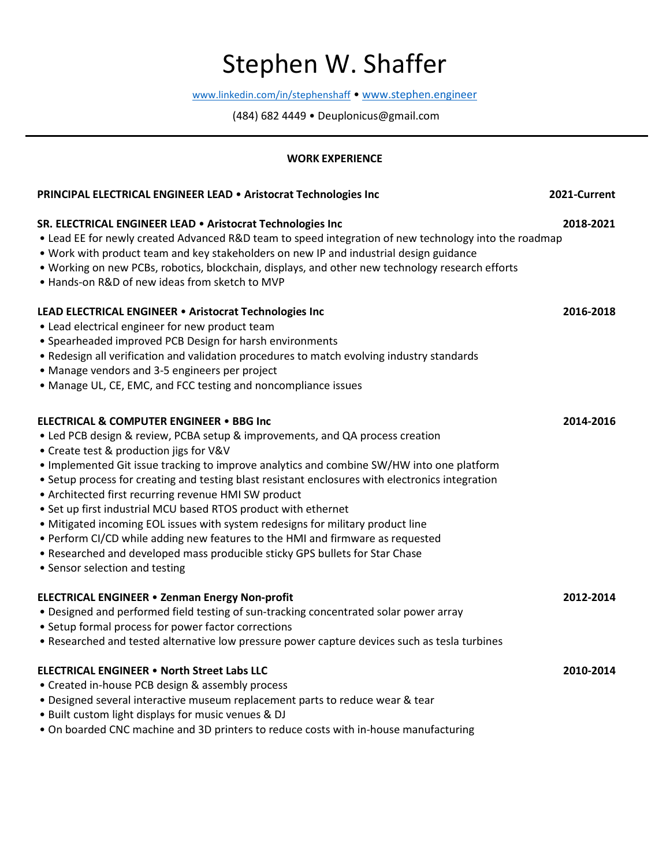# Stephen W. Shaffer

www.linkedin.com/in/stephenshaff • www.stephen.engineer

(484) 682 4449 • Deuplonicus@gmail.com

#### **WORK EXPERIENCE**

| PRINCIPAL ELECTRICAL ENGINEER LEAD . Aristocrat Technologies Inc                                                                                                                                                                                                                                                                                                                                                                                                                                                                                                                                                                                                                                                                                                                                  | 2021-Current |
|---------------------------------------------------------------------------------------------------------------------------------------------------------------------------------------------------------------------------------------------------------------------------------------------------------------------------------------------------------------------------------------------------------------------------------------------------------------------------------------------------------------------------------------------------------------------------------------------------------------------------------------------------------------------------------------------------------------------------------------------------------------------------------------------------|--------------|
| SR. ELECTRICAL ENGINEER LEAD . Aristocrat Technologies Inc<br>• Lead EE for newly created Advanced R&D team to speed integration of new technology into the roadmap<br>. Work with product team and key stakeholders on new IP and industrial design guidance<br>. Working on new PCBs, robotics, blockchain, displays, and other new technology research efforts<br>. Hands-on R&D of new ideas from sketch to MVP                                                                                                                                                                                                                                                                                                                                                                               | 2018-2021    |
| LEAD ELECTRICAL ENGINEER . Aristocrat Technologies Inc<br>• Lead electrical engineer for new product team<br>• Spearheaded improved PCB Design for harsh environments<br>• Redesign all verification and validation procedures to match evolving industry standards<br>• Manage vendors and 3-5 engineers per project<br>• Manage UL, CE, EMC, and FCC testing and noncompliance issues                                                                                                                                                                                                                                                                                                                                                                                                           | 2016-2018    |
| <b>ELECTRICAL &amp; COMPUTER ENGINEER . BBG Inc</b><br>• Led PCB design & review, PCBA setup & improvements, and QA process creation<br>• Create test & production jigs for V&V<br>. Implemented Git issue tracking to improve analytics and combine SW/HW into one platform<br>• Setup process for creating and testing blast resistant enclosures with electronics integration<br>• Architected first recurring revenue HMI SW product<br>• Set up first industrial MCU based RTOS product with ethernet<br>• Mitigated incoming EOL issues with system redesigns for military product line<br>• Perform CI/CD while adding new features to the HMI and firmware as requested<br>• Researched and developed mass producible sticky GPS bullets for Star Chase<br>• Sensor selection and testing | 2014-2016    |
| <b>ELECTRICAL ENGINEER . Zenman Energy Non-profit</b><br>• Designed and performed field testing of sun-tracking concentrated solar power array<br>• Setup formal process for power factor corrections<br>• Researched and tested alternative low pressure power capture devices such as tesla turbines                                                                                                                                                                                                                                                                                                                                                                                                                                                                                            | 2012-2014    |
| <b>ELECTRICAL ENGINEER . North Street Labs LLC</b><br>• Created in-house PCB design & assembly process<br>. Designed several interactive museum replacement parts to reduce wear & tear<br>. Built custom light displays for music venues & DJ<br>. On boarded CNC machine and 3D printers to reduce costs with in-house manufacturing                                                                                                                                                                                                                                                                                                                                                                                                                                                            | 2010-2014    |